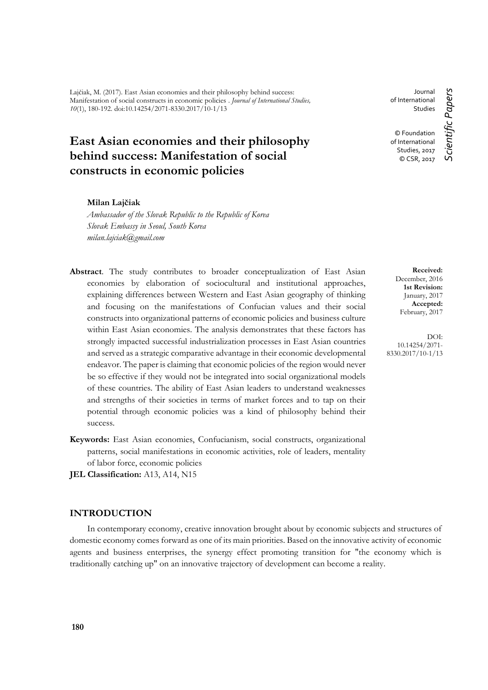Lajčiak, M. (2017). East Asian economies and their philosophy behind success: Manifestation of social constructs in economic policies . *Journal of International Studies, 10*(1), 180-192. doi:10.14254/2071-8330.2017/10-1/13

# **East Asian economies and their philosophy behind success: Manifestation of social constructs in economic policies**

## **Milan Lajčiak**

*Ambassador of the Slovak Republic to the Republic of Korea Slovak Embassy in Seoul, South Korea milan.lajciak@gmail.com*

- **Abstract**. The study contributes to broader conceptualization of East Asian economies by elaboration of sociocultural and institutional approaches, explaining differences between Western and East Asian geography of thinking and focusing on the manifestations of Confucian values and their social constructs into organizational patterns of economic policies and business culture within East Asian economies. The analysis demonstrates that these factors has strongly impacted successful industrialization processes in East Asian countries and served as a strategic comparative advantage in their economic developmental endeavor. The paper is claiming that economic policies of the region would never be so effective if they would not be integrated into social organizational models of these countries. The ability of East Asian leaders to understand weaknesses and strengths of their societies in terms of market forces and to tap on their potential through economic policies was a kind of philosophy behind their success.
- **Keywords:** East Asian economies, Confucianism, social constructs, organizational patterns, social manifestations in economic activities, role of leaders, mentality of labor force, economic policies

**JEL Classification:** A13, A14, N15

# **INTRODUCTION**

In contemporary economy, creative innovation brought about by economic subjects and structures of domestic economy comes forward as one of its main priorities. Based on the innovative activity of economic agents and business enterprises, the synergy effect promoting transition for "the economy which is traditionally catching up" on an innovative trajectory of development can become a reality.

Journal of International Studies

© Foundation of International Studies, 2017 © CSR, 2017

> **Received:** December, 2016 **1st Revision:** January, 2017 **Accepted:** February, 2017

DOI: 10.14254/2071- 8330.2017/10-1/13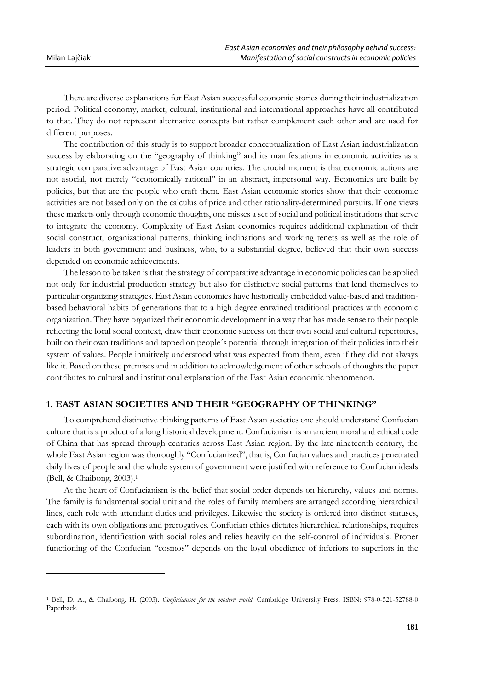$\overline{a}$ 

There are diverse explanations for East Asian successful economic stories during their industrialization period. Political economy, market, cultural, institutional and international approaches have all contributed to that. They do not represent alternative concepts but rather complement each other and are used for different purposes.

The contribution of this study is to support broader conceptualization of East Asian industrialization success by elaborating on the "geography of thinking" and its manifestations in economic activities as a strategic comparative advantage of East Asian countries. The crucial moment is that economic actions are not asocial, not merely "economically rational" in an abstract, impersonal way. Economies are built by policies, but that are the people who craft them. East Asian economic stories show that their economic activities are not based only on the calculus of price and other rationality-determined pursuits. If one views these markets only through economic thoughts, one misses a set of social and political institutions that serve to integrate the economy. Complexity of East Asian economies requires additional explanation of their social construct, organizational patterns, thinking inclinations and working tenets as well as the role of leaders in both government and business, who, to a substantial degree, believed that their own success depended on economic achievements.

The lesson to be taken is that the strategy of comparative advantage in economic policies can be applied not only for industrial production strategy but also for distinctive social patterns that lend themselves to particular organizing strategies. East Asian economies have historically embedded value-based and traditionbased behavioral habits of generations that to a high degree entwined traditional practices with economic organization. They have organized their economic development in a way that has made sense to their people reflecting the local social context, draw their economic success on their own social and cultural repertoires, built on their own traditions and tapped on people´s potential through integration of their policies into their system of values. People intuitively understood what was expected from them, even if they did not always like it. Based on these premises and in addition to acknowledgement of other schools of thoughts the paper contributes to cultural and institutional explanation of the East Asian economic phenomenon.

# **1. EAST ASIAN SOCIETIES AND THEIR "GEOGRAPHY OF THINKING"**

To comprehend distinctive thinking patterns of East Asian societies one should understand Confucian culture that is a product of a long historical development. Confucianism is an ancient moral and ethical code of China that has spread through centuries across East Asian region. By the late nineteenth century, the whole East Asian region was thoroughly "Confucianized", that is, Confucian values and practices penetrated daily lives of people and the whole system of government were justified with reference to Confucian ideals (Bell, & Chaibong, 2003). 1

At the heart of Confucianism is the belief that social order depends on hierarchy, values and norms. The family is fundamental social unit and the roles of family members are arranged according hierarchical lines, each role with attendant duties and privileges. Likewise the society is ordered into distinct statuses, each with its own obligations and prerogatives. Confucian ethics dictates hierarchical relationships, requires subordination, identification with social roles and relies heavily on the self-control of individuals. Proper functioning of the Confucian "cosmos" depends on the loyal obedience of inferiors to superiors in the

<sup>1</sup> Bell, D. A., & Chaibong, H. (2003). *Confucianism for the modern world*. Cambridge University Press. ISBN: 978-0-521-52788-0 Paperback.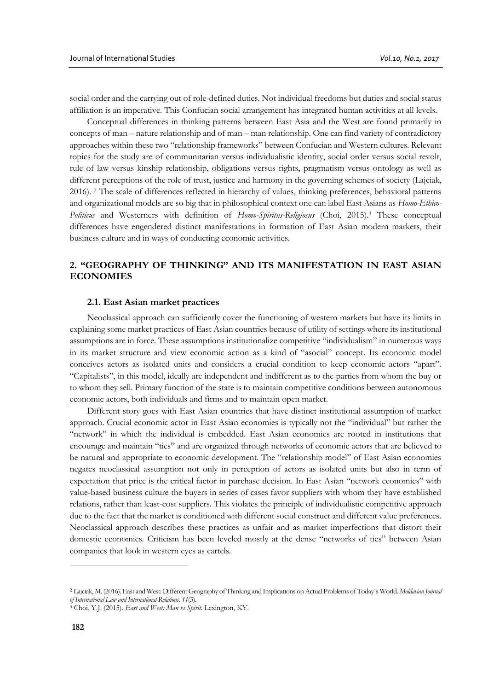social order and the carrying out of role-defined duties. Not individual freedoms but duties and social status affiliation is an imperative. This Confucian social arrangement has integrated human activities at all levels.

Conceptual differences in thinking patterns between East Asia and the West are found primarily in concepts of man – nature relationship and of man – man relationship. One can find variety of contradictory approaches within these two "relationship frameworks" between Confucian and Western cultures. Relevant topics for the study are of communitarian versus individualistic identity, social order versus social revolt, rule of law versus kinship relationship, obligations versus rights, pragmatism versus ontology as well as different perceptions of the role of trust, justice and harmony in the governing schemes of society (Lajciak, 2016). <sup>2</sup> The scale of differences reflected in hierarchy of values, thinking preferences, behavioral patterns and organizational models are so big that in philosophical context one can label East Asians as *Homo-Ethico-Politicus* and Westerners with definition of *Homo-Spiritus-Religiosus* (Choi, 2015). <sup>3</sup> These conceptual differences have engendered distinct manifestations in formation of East Asian modern markets, their business culture and in ways of conducting economic activities.

# **2. "GEOGRAPHY OF THINKING" AND ITS MANIFESTATION IN EAST ASIAN ECONOMIES**

#### **2.1. East Asian market practices**

Neoclassical approach can sufficiently cover the functioning of western markets but have its limits in explaining some market practices of East Asian countries because of utility of settings where its institutional assumptions are in force. These assumptions institutionalize competitive "individualism" in numerous ways in its market structure and view economic action as a kind of "asocial" concept. Its economic model conceives actors as isolated units and considers a crucial condition to keep economic actors "apart". "Capitalists", in this model, ideally are independent and indifferent as to the parties from whom the buy or to whom they sell. Primary function of the state is to maintain competitive conditions between autonomous economic actors, both individuals and firms and to maintain open market.

Different story goes with East Asian countries that have distinct institutional assumption of market approach. Crucial economic actor in East Asian economies is typically not the "individual" but rather the "network" in which the individual is embedded. East Asian economies are rooted in institutions that encourage and maintain "ties" and are organized through networks of economic actors that are believed to be natural and appropriate to economic development. The "relationship model" of East Asian economies negates neoclassical assumption not only in perception of actors as isolated units but also in term of expectation that price is the critical factor in purchase decision. In East Asian "network economies" with value-based business culture the buyers in series of cases favor suppliers with whom they have established relations, rather than least-cost suppliers. This violates the principle of individualistic competitive approach due to the fact that the market is conditioned with different social construct and different value preferences. Neoclassical approach describes these practices as unfair and as market imperfections that distort their domestic economies. Criticism has been leveled mostly at the dense "networks of ties" between Asian companies that look in western eyes as cartels.

<sup>2</sup> Lajciak, M. (2016). East and West: Different Geography of Thinking and Implications on Actual Problems of Today´s World. *Moldavian Journal of International Law and International Relations, 11*(3).

<sup>3</sup> Choi, Y.J. (2015). *East and West: Man vs Spirit*. Lexington, KY.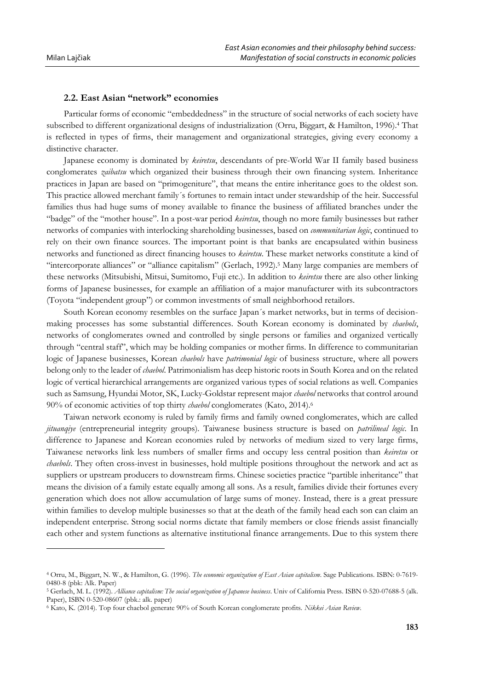$\overline{a}$ 

#### **2.2. East Asian "network" economies**

Particular forms of economic "embeddedness" in the structure of social networks of each society have subscribed to different organizational designs of industrialization (Orru, Biggart, & Hamilton, 1996). <sup>4</sup> That is reflected in types of firms, their management and organizational strategies, giving every economy a distinctive character.

Japanese economy is dominated by *keiretsu*, descendants of pre-World War II family based business conglomerates *zaibatsu* which organized their business through their own financing system. Inheritance practices in Japan are based on "primogeniture", that means the entire inheritance goes to the oldest son. This practice allowed merchant family´s fortunes to remain intact under stewardship of the heir. Successful families thus had huge sums of money available to finance the business of affiliated branches under the "badge" of the "mother house". In a post-war period *keiretsu*, though no more family businesses but rather networks of companies with interlocking shareholding businesses, based on *communitarian logic*, continued to rely on their own finance sources. The important point is that banks are encapsulated within business networks and functioned as direct financing houses to *keiretsu*. These market networks constitute a kind of "intercorporate alliances" or "alliance capitalism" (Gerlach, 1992). <sup>5</sup> Many large companies are members of these networks (Mitsubishi, Mitsui, Sumitomo, Fuji etc.). In addition to *keiretsu* there are also other linking forms of Japanese businesses, for example an affiliation of a major manufacturer with its subcontractors (Toyota "independent group") or common investments of small neighborhood retailors.

South Korean economy resembles on the surface Japan´s market networks, but in terms of decisionmaking processes has some substantial differences. South Korean economy is dominated by *chaebols*, networks of conglomerates owned and controlled by single persons or families and organized vertically through "central staff", which may be holding companies or mother firms. In difference to communitarian logic of Japanese businesses, Korean *chaebols* have *patrimonial logic* of business structure, where all powers belong only to the leader of *chaebol*. Patrimonialism has deep historic roots in South Korea and on the related logic of vertical hierarchical arrangements are organized various types of social relations as well. Companies such as Samsung, Hyundai Motor, SK, Lucky-Goldstar represent major *chaebol* networks that control around 90% of economic activities of top thirty *chaebol* conglomerates (Kato, 2014). 6

Taiwan network economy is ruled by family firms and family owned conglomerates, which are called *jituanqiye* (entrepreneurial integrity groups). Taiwanese business structure is based on *patrilineal logic*. In difference to Japanese and Korean economies ruled by networks of medium sized to very large firms, Taiwanese networks link less numbers of smaller firms and occupy less central position than *keiretsu* or *chaebols*. They often cross-invest in businesses, hold multiple positions throughout the network and act as suppliers or upstream producers to downstream firms. Chinese societies practice "partible inheritance" that means the division of a family estate equally among all sons. As a result, families divide their fortunes every generation which does not allow accumulation of large sums of money. Instead, there is a great pressure within families to develop multiple businesses so that at the death of the family head each son can claim an independent enterprise. Strong social norms dictate that family members or close friends assist financially each other and system functions as alternative institutional finance arrangements. Due to this system there

<sup>4</sup> Orru, M., Biggart, N. W., & Hamilton, G. (1996). *The economic organization of East Asian capitalism*. Sage Publications. ISBN: 0-7619- 0480-8 (pbk: Alk. Paper)

<sup>5</sup> Gerlach, M. L. (1992). *Alliance capitalism: The social organization of Japanese business*. Univ of California Press. ISBN 0-520-07688-5 (alk. Paper), ISBN 0-520-08607 (pbk.: alk. paper)

<sup>6</sup> Kato, K. (2014). Top four chaebol generate 90% of South Korean conglomerate profits. *Nikkei Asian Review*.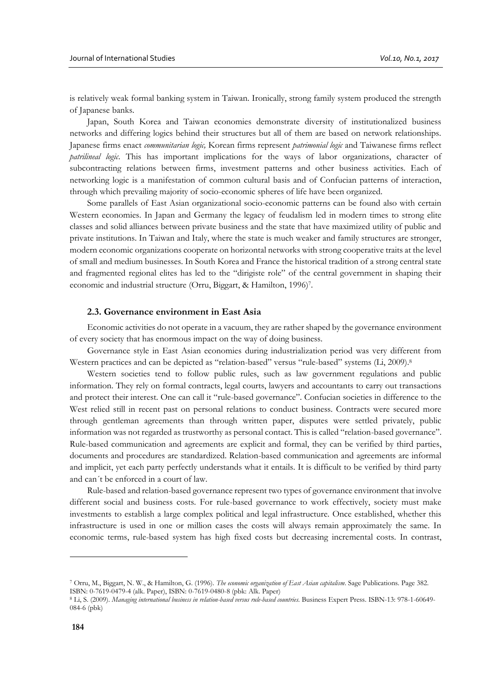is relatively weak formal banking system in Taiwan. Ironically, strong family system produced the strength of Japanese banks.

Japan, South Korea and Taiwan economies demonstrate diversity of institutionalized business networks and differing logics behind their structures but all of them are based on network relationships. Japanese firms enact *communitarian logic,* Korean firms represent *patrimonial logic* and Taiwanese firms reflect *patrilineal logic*. This has important implications for the ways of labor organizations, character of subcontracting relations between firms, investment patterns and other business activities. Each of networking logic is a manifestation of common cultural basis and of Confucian patterns of interaction, through which prevailing majority of socio-economic spheres of life have been organized.

Some parallels of East Asian organizational socio-economic patterns can be found also with certain Western economies. In Japan and Germany the legacy of feudalism led in modern times to strong elite classes and solid alliances between private business and the state that have maximized utility of public and private institutions. In Taiwan and Italy, where the state is much weaker and family structures are stronger, modern economic organizations cooperate on horizontal networks with strong cooperative traits at the level of small and medium businesses. In South Korea and France the historical tradition of a strong central state and fragmented regional elites has led to the "dirigiste role" of the central government in shaping their economic and industrial structure (Orru, Biggart, & Hamilton, 1996) 7 .

# **2.3. Governance environment in East Asia**

Economic activities do not operate in a vacuum, they are rather shaped by the governance environment of every society that has enormous impact on the way of doing business.

Governance style in East Asian economies during industrialization period was very different from Western practices and can be depicted as "relation-based" versus "rule-based" systems (Li, 2009).<sup>8</sup>

Western societies tend to follow public rules, such as law government regulations and public information. They rely on formal contracts, legal courts, lawyers and accountants to carry out transactions and protect their interest. One can call it "rule-based governance". Confucian societies in difference to the West relied still in recent past on personal relations to conduct business. Contracts were secured more through gentleman agreements than through written paper, disputes were settled privately, public information was not regarded as trustworthy as personal contact. This is called "relation-based governance". Rule-based communication and agreements are explicit and formal, they can be verified by third parties, documents and procedures are standardized. Relation-based communication and agreements are informal and implicit, yet each party perfectly understands what it entails. It is difficult to be verified by third party and can´t be enforced in a court of law.

Rule-based and relation-based governance represent two types of governance environment that involve different social and business costs. For rule-based governance to work effectively, society must make investments to establish a large complex political and legal infrastructure. Once established, whether this infrastructure is used in one or million cases the costs will always remain approximately the same. In economic terms, rule-based system has high fixed costs but decreasing incremental costs. In contrast,

<sup>7</sup> Orru, M., Biggart, N. W., & Hamilton, G. (1996). *The economic organization of East Asian capitalism*. Sage Publications. Page 382. ISBN: 0-7619-0479-4 (alk. Paper), ISBN: 0-7619-0480-8 (pbk: Alk. Paper)

<sup>8</sup> Li, S. (2009). *Managing international business in relation-based versus rule-based countries*. Business Expert Press. ISBN-13: 978-1-60649- 084-6 (pbk)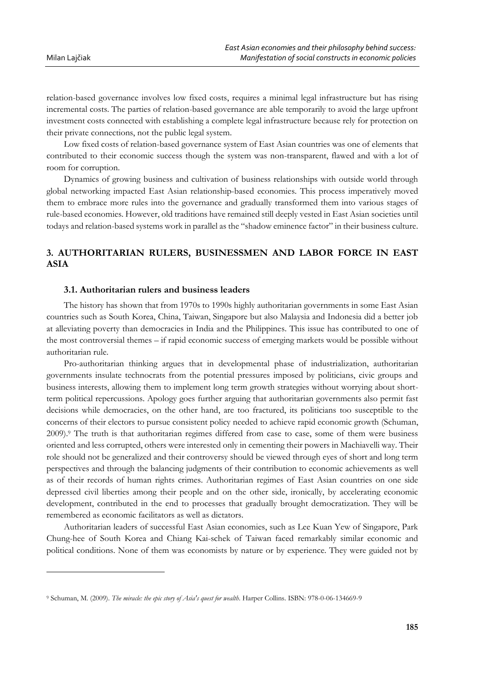$\overline{a}$ 

relation-based governance involves low fixed costs, requires a minimal legal infrastructure but has rising incremental costs. The parties of relation-based governance are able temporarily to avoid the large upfront investment costs connected with establishing a complete legal infrastructure because rely for protection on their private connections, not the public legal system.

Low fixed costs of relation-based governance system of East Asian countries was one of elements that contributed to their economic success though the system was non-transparent, flawed and with a lot of room for corruption.

Dynamics of growing business and cultivation of business relationships with outside world through global networking impacted East Asian relationship-based economies. This process imperatively moved them to embrace more rules into the governance and gradually transformed them into various stages of rule-based economies. However, old traditions have remained still deeply vested in East Asian societies until todays and relation-based systems work in parallel as the "shadow eminence factor" in their business culture.

# **3. AUTHORITARIAN RULERS, BUSINESSMEN AND LABOR FORCE IN EAST ASIA**

#### **3.1. Authoritarian rulers and business leaders**

The history has shown that from 1970s to 1990s highly authoritarian governments in some East Asian countries such as South Korea, China, Taiwan, Singapore but also Malaysia and Indonesia did a better job at alleviating poverty than democracies in India and the Philippines. This issue has contributed to one of the most controversial themes – if rapid economic success of emerging markets would be possible without authoritarian rule.

Pro-authoritarian thinking argues that in developmental phase of industrialization, authoritarian governments insulate technocrats from the potential pressures imposed by politicians, civic groups and business interests, allowing them to implement long term growth strategies without worrying about shortterm political repercussions. Apology goes further arguing that authoritarian governments also permit fast decisions while democracies, on the other hand, are too fractured, its politicians too susceptible to the concerns of their electors to pursue consistent policy needed to achieve rapid economic growth (Schuman, 2009). <sup>9</sup> The truth is that authoritarian regimes differed from case to case, some of them were business oriented and less corrupted, others were interested only in cementing their powers in Machiavelli way. Their role should not be generalized and their controversy should be viewed through eyes of short and long term perspectives and through the balancing judgments of their contribution to economic achievements as well as of their records of human rights crimes. Authoritarian regimes of East Asian countries on one side depressed civil liberties among their people and on the other side, ironically, by accelerating economic development, contributed in the end to processes that gradually brought democratization. They will be remembered as economic facilitators as well as dictators.

Authoritarian leaders of successful East Asian economies, such as Lee Kuan Yew of Singapore, Park Chung-hee of South Korea and Chiang Kai-schek of Taiwan faced remarkably similar economic and political conditions. None of them was economists by nature or by experience. They were guided not by

<sup>9</sup> Schuman, M. (2009). *The miracle: the epic story of Asia's quest for wealth*. Harper Collins. ISBN: 978-0-06-134669-9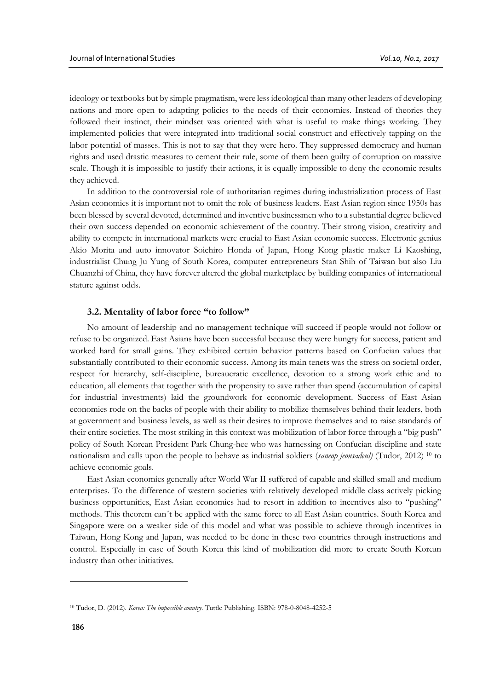ideology or textbooks but by simple pragmatism, were less ideological than many other leaders of developing nations and more open to adapting policies to the needs of their economies. Instead of theories they followed their instinct, their mindset was oriented with what is useful to make things working. They implemented policies that were integrated into traditional social construct and effectively tapping on the labor potential of masses. This is not to say that they were hero. They suppressed democracy and human rights and used drastic measures to cement their rule, some of them been guilty of corruption on massive scale. Though it is impossible to justify their actions, it is equally impossible to deny the economic results they achieved.

In addition to the controversial role of authoritarian regimes during industrialization process of East Asian economies it is important not to omit the role of business leaders. East Asian region since 1950s has been blessed by several devoted, determined and inventive businessmen who to a substantial degree believed their own success depended on economic achievement of the country. Their strong vision, creativity and ability to compete in international markets were crucial to East Asian economic success. Electronic genius Akio Morita and auto innovator Soichiro Honda of Japan, Hong Kong plastic maker Li Kaoshing, industrialist Chung Ju Yung of South Korea, computer entrepreneurs Stan Shih of Taiwan but also Liu Chuanzhi of China, they have forever altered the global marketplace by building companies of international stature against odds.

#### **3.2. Mentality of labor force "to follow"**

No amount of leadership and no management technique will succeed if people would not follow or refuse to be organized. East Asians have been successful because they were hungry for success, patient and worked hard for small gains. They exhibited certain behavior patterns based on Confucian values that substantially contributed to their economic success. Among its main tenets was the stress on societal order, respect for hierarchy, self-discipline, bureaucratic excellence, devotion to a strong work ethic and to education, all elements that together with the propensity to save rather than spend (accumulation of capital for industrial investments) laid the groundwork for economic development. Success of East Asian economies rode on the backs of people with their ability to mobilize themselves behind their leaders, both at government and business levels, as well as their desires to improve themselves and to raise standards of their entire societies. The most striking in this context was mobilization of labor force through a "big push" policy of South Korean President Park Chung-hee who was harnessing on Confucian discipline and state nationalism and calls upon the people to behave as industrial soldiers (*saneop jeonsadeul)* (Tudor, 2012) <sup>10</sup> to achieve economic goals.

East Asian economies generally after World War II suffered of capable and skilled small and medium enterprises. To the difference of western societies with relatively developed middle class actively picking business opportunities, East Asian economics had to resort in addition to incentives also to "pushing" methods. This theorem can´t be applied with the same force to all East Asian countries. South Korea and Singapore were on a weaker side of this model and what was possible to achieve through incentives in Taiwan, Hong Kong and Japan, was needed to be done in these two countries through instructions and control. Especially in case of South Korea this kind of mobilization did more to create South Korean industry than other initiatives.

<sup>10</sup> Tudor, D. (2012). *Korea: The impossible country*. Tuttle Publishing. ISBN: 978-0-8048-4252-5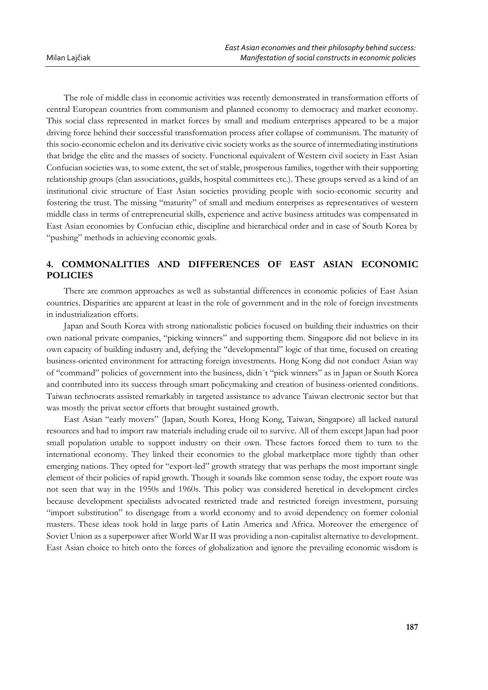The role of middle class in economic activities was recently demonstrated in transformation efforts of central European countries from communism and planned economy to democracy and market economy. This social class represented in market forces by small and medium enterprises appeared to be a major driving force behind their successful transformation process after collapse of communism. The maturity of this socio-economic echelon and its derivative civic society works as the source of intermediating institutions that bridge the elite and the masses of society. Functional equivalent of Western civil society in East Asian Confucian societies was, to some extent, the set of stable, prosperous families, together with their supporting relationship groups (clan associations, guilds, hospital committees etc.). These groups served as a kind of an institutional civic structure of East Asian societies providing people with socio-economic security and fostering the trust. The missing "maturity" of small and medium enterprises as representatives of western middle class in terms of entrepreneurial skills, experience and active business attitudes was compensated in East Asian economies by Confucian ethic, discipline and hierarchical order and in case of South Korea by "pushing" methods in achieving economic goals.

# **4. COMMONALITIES AND DIFFERENCES OF EAST ASIAN ECONOMIC POLICIES**

There are common approaches as well as substantial differences in economic policies of East Asian countries. Disparities are apparent at least in the role of government and in the role of foreign investments in industrialization efforts.

Japan and South Korea with strong nationalistic policies focused on building their industries on their own national private companies, "picking winners" and supporting them. Singapore did not believe in its own capacity of building industry and, defying the "developmental" logic of that time, focused on creating business-oriented environment for attracting foreign investments. Hong Kong did not conduct Asian way of "command" policies of government into the business, didn´t "pick winners" as in Japan or South Korea and contributed into its success through smart policymaking and creation of business-oriented conditions. Taiwan technocrats assisted remarkably in targeted assistance to advance Taiwan electronic sector but that was mostly the privat sector efforts that brought sustained growth.

East Asian "early movers" (Japan, South Korea, Hong Kong, Taiwan, Singapore) all lacked natural resources and had to import raw materials including crude oil to survive. All of them except Japan had poor small population unable to support industry on their own. These factors forced them to turn to the international economy. They linked their economies to the global marketplace more tightly than other emerging nations. They opted for "export-led" growth strategy that was perhaps the most important single element of their policies of rapid growth. Though it sounds like common sense today, the export route was not seen that way in the 1950s and 1960s. This policy was considered heretical in development circles because development specialists advocated restricted trade and restricted foreign investment, pursuing "import substitution" to disengage from a world economy and to avoid dependency on former colonial masters. These ideas took hold in large parts of Latin America and Africa. Moreover the emergence of Soviet Union as a superpower after World War II was providing a non-capitalist alternative to development. East Asian choice to hitch onto the forces of globalization and ignore the prevailing economic wisdom is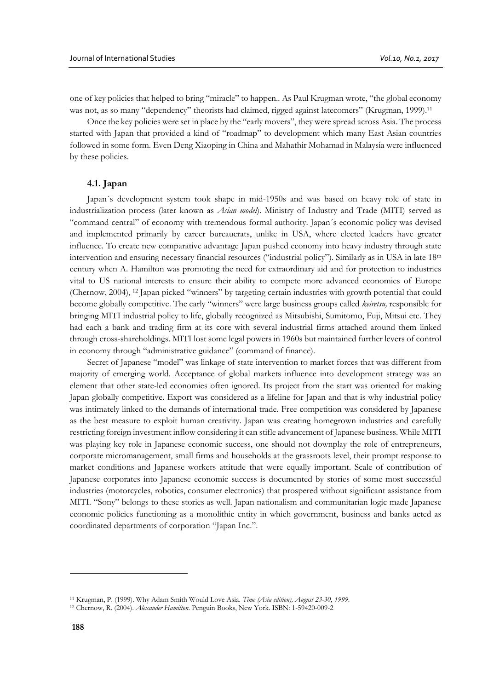one of key policies that helped to bring "miracle" to happen.. As Paul Krugman wrote, "the global economy was not, as so many "dependency" theorists had claimed, rigged against latecomers" (Krugman, 1999).<sup>11</sup>

Once the key policies were set in place by the "early movers", they were spread across Asia. The process started with Japan that provided a kind of "roadmap" to development which many East Asian countries followed in some form. Even Deng Xiaoping in China and Mahathir Mohamad in Malaysia were influenced by these policies.

#### **4.1. Japan**

Japan´s development system took shape in mid-1950s and was based on heavy role of state in industrialization process (later known as *Asian model*). Ministry of Industry and Trade (MITI) served as "command central" of economy with tremendous formal authority. Japan´s economic policy was devised and implemented primarily by career bureaucrats, unlike in USA, where elected leaders have greater influence. To create new comparative advantage Japan pushed economy into heavy industry through state intervention and ensuring necessary financial resources ("industrial policy"). Similarly as in USA in late 18<sup>th</sup> century when A. Hamilton was promoting the need for extraordinary aid and for protection to industries vital to US national interests to ensure their ability to compete more advanced economies of Europe (Chernow, 2004), <sup>12</sup> Japan picked "winners" by targeting certain industries with growth potential that could become globally competitive. The early "winners" were large business groups called *keiretsu,* responsible for bringing MITI industrial policy to life, globally recognized as Mitsubishi, Sumitomo, Fuji, Mitsui etc. They had each a bank and trading firm at its core with several industrial firms attached around them linked through cross-shareholdings. MITI lost some legal powers in 1960s but maintained further levers of control in economy through "administrative guidance" (command of finance).

Secret of Japanese "model" was linkage of state intervention to market forces that was different from majority of emerging world. Acceptance of global markets influence into development strategy was an element that other state-led economies often ignored. Its project from the start was oriented for making Japan globally competitive. Export was considered as a lifeline for Japan and that is why industrial policy was intimately linked to the demands of international trade. Free competition was considered by Japanese as the best measure to exploit human creativity. Japan was creating homegrown industries and carefully restricting foreign investment inflow considering it can stifle advancement of Japanese business. While MITI was playing key role in Japanese economic success, one should not downplay the role of entrepreneurs, corporate micromanagement, small firms and households at the grassroots level, their prompt response to market conditions and Japanese workers attitude that were equally important. Scale of contribution of Japanese corporates into Japanese economic success is documented by stories of some most successful industries (motorcycles, robotics, consumer electronics) that prospered without significant assistance from MITI. "Sony" belongs to these stories as well. Japan nationalism and communitarian logic made Japanese economic policies functioning as a monolithic entity in which government, business and banks acted as coordinated departments of corporation "Japan Inc.".

<sup>11</sup> Krugman, P. (1999). Why Adam Smith Would Love Asia. *Time (Asia edition), August 23-30*, *1999*.

<sup>12</sup> Chernow, R. (2004). *Alexander Hamilton*. Penguin Books, New York. ISBN: 1-59420-009-2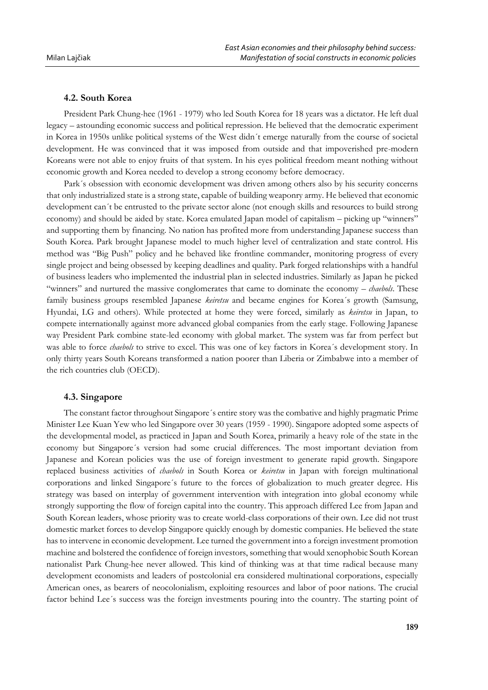#### **4.2. South Korea**

President Park Chung-hee (1961 - 1979) who led South Korea for 18 years was a dictator. He left dual legacy – astounding economic success and political repression. He believed that the democratic experiment in Korea in 1950s unlike political systems of the West didn´t emerge naturally from the course of societal development. He was convinced that it was imposed from outside and that impoverished pre-modern Koreans were not able to enjoy fruits of that system. In his eyes political freedom meant nothing without economic growth and Korea needed to develop a strong economy before democracy.

Park´s obsession with economic development was driven among others also by his security concerns that only industrialized state is a strong state, capable of building weaponry army. He believed that economic development can´t be entrusted to the private sector alone (not enough skills and resources to build strong economy) and should be aided by state. Korea emulated Japan model of capitalism – picking up "winners" and supporting them by financing. No nation has profited more from understanding Japanese success than South Korea. Park brought Japanese model to much higher level of centralization and state control. His method was "Big Push" policy and he behaved like frontline commander, monitoring progress of every single project and being obsessed by keeping deadlines and quality. Park forged relationships with a handful of business leaders who implemented the industrial plan in selected industries. Similarly as Japan he picked "winners" and nurtured the massive conglomerates that came to dominate the economy – *chaebols*. These family business groups resembled Japanese *keiretsu* and became engines for Korea´s growth (Samsung, Hyundai, LG and others). While protected at home they were forced, similarly as *keiretsu* in Japan, to compete internationally against more advanced global companies from the early stage. Following Japanese way President Park combine state-led economy with global market. The system was far from perfect but was able to force *chaebols* to strive to excel. This was one of key factors in Korea´s development story. In only thirty years South Koreans transformed a nation poorer than Liberia or Zimbabwe into a member of the rich countries club (OECD).

#### **4.3. Singapore**

The constant factor throughout Singapore´s entire story was the combative and highly pragmatic Prime Minister Lee Kuan Yew who led Singapore over 30 years (1959 - 1990). Singapore adopted some aspects of the developmental model, as practiced in Japan and South Korea, primarily a heavy role of the state in the economy but Singapore´s version had some crucial differences. The most important deviation from Japanese and Korean policies was the use of foreign investment to generate rapid growth. Singapore replaced business activities of *chaebols* in South Korea or *keiretsu* in Japan with foreign multinational corporations and linked Singapore´s future to the forces of globalization to much greater degree. His strategy was based on interplay of government intervention with integration into global economy while strongly supporting the flow of foreign capital into the country. This approach differed Lee from Japan and South Korean leaders, whose priority was to create world-class corporations of their own. Lee did not trust domestic market forces to develop Singapore quickly enough by domestic companies. He believed the state has to intervene in economic development. Lee turned the government into a foreign investment promotion machine and bolstered the confidence of foreign investors, something that would xenophobic South Korean nationalist Park Chung-hee never allowed. This kind of thinking was at that time radical because many development economists and leaders of postcolonial era considered multinational corporations, especially American ones, as bearers of neocolonialism, exploiting resources and labor of poor nations. The crucial factor behind Lee´s success was the foreign investments pouring into the country. The starting point of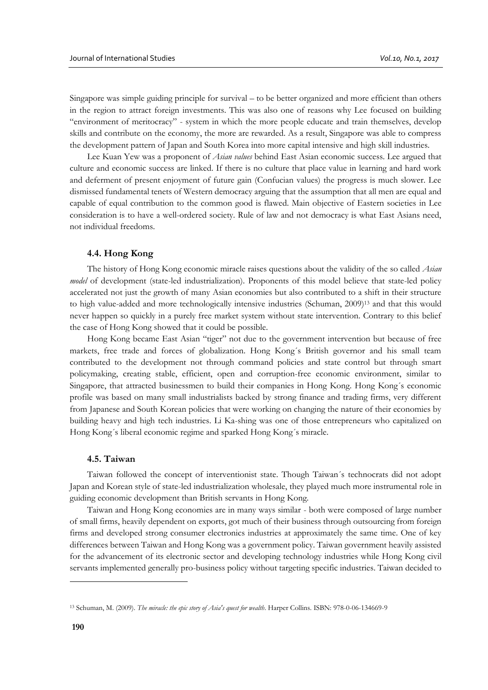Singapore was simple guiding principle for survival – to be better organized and more efficient than others in the region to attract foreign investments. This was also one of reasons why Lee focused on building "environment of meritocracy" - system in which the more people educate and train themselves, develop skills and contribute on the economy, the more are rewarded. As a result, Singapore was able to compress the development pattern of Japan and South Korea into more capital intensive and high skill industries.

Lee Kuan Yew was a proponent of *Asian values* behind East Asian economic success. Lee argued that culture and economic success are linked. If there is no culture that place value in learning and hard work and deferment of present enjoyment of future gain (Confucian values) the progress is much slower. Lee dismissed fundamental tenets of Western democracy arguing that the assumption that all men are equal and capable of equal contribution to the common good is flawed. Main objective of Eastern societies in Lee consideration is to have a well-ordered society. Rule of law and not democracy is what East Asians need, not individual freedoms.

## **4.4. Hong Kong**

The history of Hong Kong economic miracle raises questions about the validity of the so called *Asian model* of development (state-led industrialization). Proponents of this model believe that state-led policy accelerated not just the growth of many Asian economies but also contributed to a shift in their structure to high value-added and more technologically intensive industries (Schuman, 2009) <sup>13</sup> and that this would never happen so quickly in a purely free market system without state intervention. Contrary to this belief the case of Hong Kong showed that it could be possible.

Hong Kong became East Asian "tiger" not due to the government intervention but because of free markets, free trade and forces of globalization. Hong Kong´s British governor and his small team contributed to the development not through command policies and state control but through smart policymaking, creating stable, efficient, open and corruption-free economic environment, similar to Singapore, that attracted businessmen to build their companies in Hong Kong. Hong Kong´s economic profile was based on many small industrialists backed by strong finance and trading firms, very different from Japanese and South Korean policies that were working on changing the nature of their economies by building heavy and high tech industries. Li Ka-shing was one of those entrepreneurs who capitalized on Hong Kong´s liberal economic regime and sparked Hong Kong´s miracle.

#### **4.5. Taiwan**

Taiwan followed the concept of interventionist state. Though Taiwan´s technocrats did not adopt Japan and Korean style of state-led industrialization wholesale, they played much more instrumental role in guiding economic development than British servants in Hong Kong.

Taiwan and Hong Kong economies are in many ways similar - both were composed of large number of small firms, heavily dependent on exports, got much of their business through outsourcing from foreign firms and developed strong consumer electronics industries at approximately the same time. One of key differences between Taiwan and Hong Kong was a government policy. Taiwan government heavily assisted for the advancement of its electronic sector and developing technology industries while Hong Kong civil servants implemented generally pro-business policy without targeting specific industries. Taiwan decided to

<sup>13</sup> Schuman, M. (2009). *The miracle: the epic story of Asia's quest for wealth*. Harper Collins. ISBN: 978-0-06-134669-9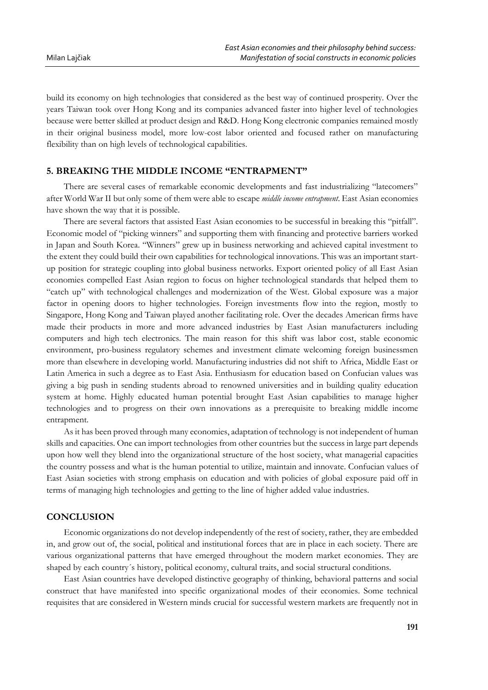build its economy on high technologies that considered as the best way of continued prosperity. Over the years Taiwan took over Hong Kong and its companies advanced faster into higher level of technologies because were better skilled at product design and R&D. Hong Kong electronic companies remained mostly in their original business model, more low-cost labor oriented and focused rather on manufacturing flexibility than on high levels of technological capabilities.

# **5. BREAKING THE MIDDLE INCOME "ENTRAPMENT"**

There are several cases of remarkable economic developments and fast industrializing "latecomers" after World War II but only some of them were able to escape *middle income entrapment*. East Asian economies have shown the way that it is possible.

There are several factors that assisted East Asian economies to be successful in breaking this "pitfall". Economic model of "picking winners" and supporting them with financing and protective barriers worked in Japan and South Korea. "Winners" grew up in business networking and achieved capital investment to the extent they could build their own capabilities for technological innovations. This was an important startup position for strategic coupling into global business networks. Export oriented policy of all East Asian economies compelled East Asian region to focus on higher technological standards that helped them to "catch up" with technological challenges and modernization of the West. Global exposure was a major factor in opening doors to higher technologies. Foreign investments flow into the region, mostly to Singapore, Hong Kong and Taiwan played another facilitating role. Over the decades American firms have made their products in more and more advanced industries by East Asian manufacturers including computers and high tech electronics. The main reason for this shift was labor cost, stable economic environment, pro-business regulatory schemes and investment climate welcoming foreign businessmen more than elsewhere in developing world. Manufacturing industries did not shift to Africa, Middle East or Latin America in such a degree as to East Asia. Enthusiasm for education based on Confucian values was giving a big push in sending students abroad to renowned universities and in building quality education system at home. Highly educated human potential brought East Asian capabilities to manage higher technologies and to progress on their own innovations as a prerequisite to breaking middle income entrapment.

As it has been proved through many economies, adaptation of technology is not independent of human skills and capacities. One can import technologies from other countries but the success in large part depends upon how well they blend into the organizational structure of the host society, what managerial capacities the country possess and what is the human potential to utilize, maintain and innovate. Confucian values of East Asian societies with strong emphasis on education and with policies of global exposure paid off in terms of managing high technologies and getting to the line of higher added value industries.

## **CONCLUSION**

Economic organizations do not develop independently of the rest of society, rather, they are embedded in, and grow out of, the social, political and institutional forces that are in place in each society. There are various organizational patterns that have emerged throughout the modern market economies. They are shaped by each country´s history, political economy, cultural traits, and social structural conditions.

East Asian countries have developed distinctive geography of thinking, behavioral patterns and social construct that have manifested into specific organizational modes of their economies. Some technical requisites that are considered in Western minds crucial for successful western markets are frequently not in